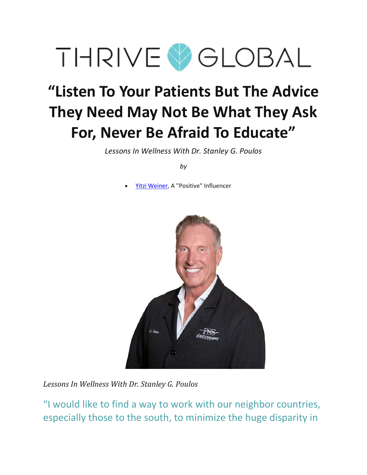

# **"Listen To Your Patients But The Advice They Need May Not Be What They Ask For, Never Be Afraid To Educate"**

*Lessons In Wellness With Dr. Stanley G. Poulos*

*by*

• [Yitzi Weiner,](https://www.thriveglobal.com/authors/6124-yitzi-weiner) A "Positive" Influencer



*Lessons In Wellness With Dr. Stanley G. Poulos*

"I would like to find a way to work with our neighbor countries, especially those to the south, to minimize the huge disparity in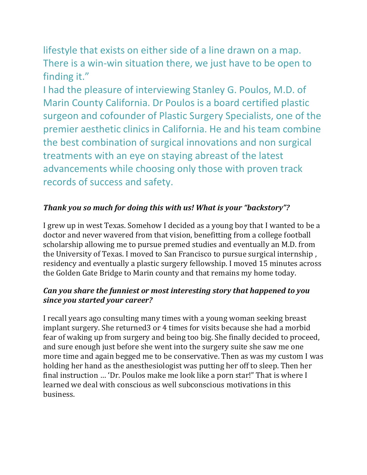lifestyle that exists on either side of a line drawn on a map. There is a win-win situation there, we just have to be open to finding it."

I had the pleasure of interviewing Stanley G. Poulos, M.D. of Marin County California. Dr Poulos is a board certified plastic surgeon and cofounder of Plastic Surgery Specialists, one of the premier aesthetic clinics in California. He and his team combine the best combination of surgical innovations and non surgical treatments with an eye on staying abreast of the latest advancements while choosing only those with proven track records of success and safety.

# *Thank you so much for doing this with us! What is your "backstory"?*

I grew up in west Texas. Somehow I decided as a young boy that I wanted to be a doctor and never wavered from that vision, benefitting from a college football scholarship allowing me to pursue premed studies and eventually an M.D. from the University of Texas. I moved to San Francisco to pursue surgical internship , residency and eventually a plastic surgery fellowship. I moved 15 minutes across the Golden Gate Bridge to Marin county and that remains my home today.

#### *Can you share the funniest or most interesting story that happened to you since you started your career?*

I recall years ago consulting many times with a young woman seeking breast implant surgery. She returned3 or 4 times for visits because she had a morbid fear of waking up from surgery and being too big. She finally decided to proceed, and sure enough just before she went into the surgery suite she saw me one more time and again begged me to be conservative. Then as was my custom I was holding her hand as the anesthesiologist was putting her off to sleep. Then her final instruction … 'Dr. Poulos make me look like a porn star!" That is where I learned we deal with conscious as well subconscious motivations in this business.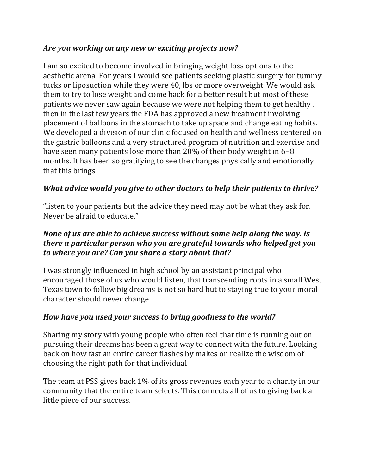## *Are you working on any new or exciting projects now?*

I am so excited to become involved in bringing weight loss options to the aesthetic arena. For years I would see patients seeking plastic surgery for tummy tucks or liposuction while they were 40, lbs or more overweight. We would ask them to try to lose weight and come back for a better result but most of these patients we never saw again because we were not helping them to get healthy . then in the last few years the FDA has approved a new treatment involving placement of balloons in the stomach to take up space and change eating habits. We developed a division of our clinic focused on health and wellness centered on the gastric balloons and a very structured program of nutrition and exercise and have seen many patients lose more than 20% of their body weight in 6–8 months. It has been so gratifying to see the changes physically and emotionally that this brings.

## *What advice would you give to other doctors to help their patients to thrive?*

"listen to your patients but the advice they need may not be what they ask for. Never be afraid to educate."

## *None of us are able to achieve success without some help along the way. Is there a particular person who you are grateful towards who helped get you to where you are? Can you share a story about that?*

I was strongly influenced in high school by an assistant principal who encouraged those of us who would listen, that transcending roots in a small West Texas town to follow big dreams is not so hard but to staying true to your moral character should never change .

## *How have you used your success to bring goodness to the world?*

Sharing my story with young people who often feel that time is running out on pursuing their dreams has been a great way to connect with the future. Looking back on how fast an entire career flashes by makes on realize the wisdom of choosing the right path for that individual

The team at PSS gives back 1% of its gross revenues each year to a charity in our community that the entire team selects. This connects all of us to giving back a little piece of our success.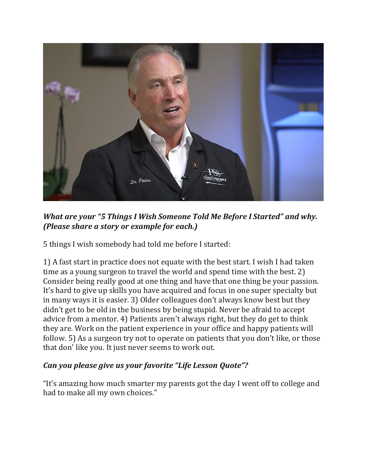

*What are your "5 Things I Wish Someone Told Me Before I Started" and why. (Please share a story or example for each.)*

5 things I wish somebody had told me before I started:

1) A fast start in practice does not equate with the best start. I wish I had taken time as a young surgeon to travel the world and spend time with the best. 2) Consider being really good at one thing and have that one thing be your passion. It's hard to give up skills you have acquired and focus in one super specialty but in many ways it is easier. 3) Older colleagues don't always know best but they didn't get to be old in the business by being stupid. Never be afraid to accept advice from a mentor. 4) Patients aren't always right, but they do get to think they are. Work on the patient experience in your office and happy patients will follow. 5) As a surgeon try not to operate on patients that you don't like, or those that don' like you. It just never seems to work out.

# *Can you please give us your favorite "Life Lesson Quote"?*

"It's amazing how much smarter my parents got the day I went off to college and had to make all my own choices."